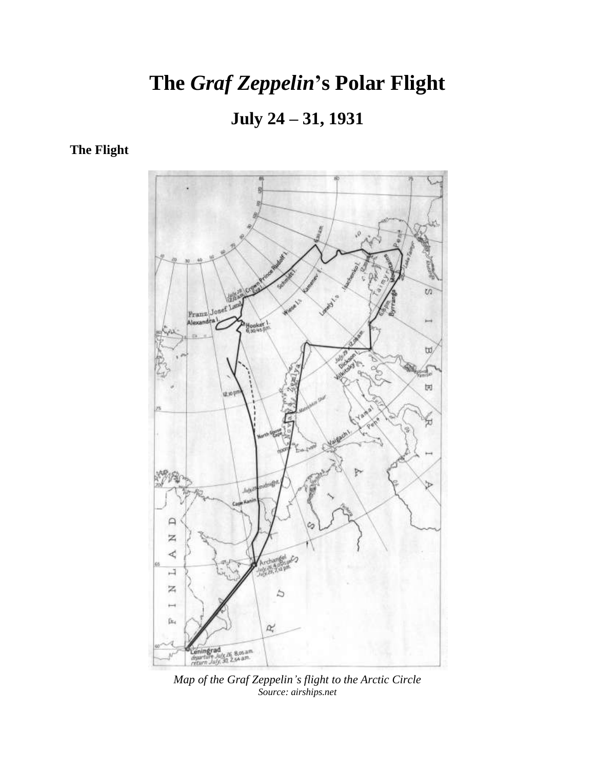# **The** *Graf Zeppelin***'s Polar Flight**

**July 24 – 31, 1931**

**The Flight**



*Map of the Graf Zeppelin's flight to the Arctic Circle Source: airships.net*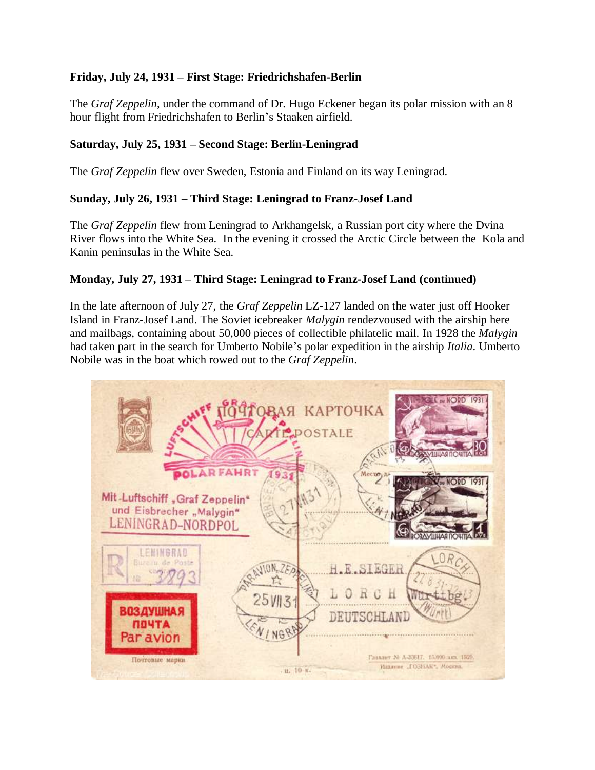# **Friday, July 24, 1931 – First Stage: Friedrichshafen-Berlin**

The *Graf Zeppelin*, under the command of Dr. Hugo Eckener began its polar mission with an 8 hour flight from Friedrichshafen to Berlin's Staaken airfield.

#### **Saturday, July 25, 1931 – Second Stage: Berlin-Leningrad**

The *Graf Zeppelin* flew over Sweden, Estonia and Finland on its way Leningrad.

# **Sunday, July 26, 1931 – Third Stage: Leningrad to Franz-Josef Land**

The *Graf Zeppelin* flew from Leningrad to Arkhangelsk, a Russian port city where the Dvina River flows into the White Sea. In the evening it crossed the Arctic Circle between the Kola and Kanin peninsulas in the White Sea.

#### **Monday, July 27, 1931 – Third Stage: Leningrad to Franz-Josef Land (continued)**

In the late afternoon of July 27, the *Graf Zeppelin* LZ-127 landed on the water just off Hooker Island in Franz-Josef Land. The Soviet icebreaker *Malygin* rendezvoused with the airship here and mailbags, containing about 50,000 pieces of collectible philatelic mail. In 1928 the *Malygin* had taken part in the search for Umberto Nobile's polar expedition in the airship *Italia*. Umberto Nobile was in the boat which rowed out to the *Graf Zeppelin*.

|                                                                                                     | ANODD<br>1970ВАЯ КАРТОЧКА<br><b>POSTALE</b>                                   |
|-----------------------------------------------------------------------------------------------------|-------------------------------------------------------------------------------|
| <b>OLARFAHRT</b><br>Mit-Luftschiff, Graf Zeppelin*<br>und Eisbrecher "Malygin"<br>LENINGRAD-NORDPOL | Место)<br><b>OROD</b>                                                         |
| <b>LENINGRAD</b><br>Bure in de Poste<br>$0N_{v}ZF_{0}$<br>店<br>$25$ <sub><math>W13</math></sub>     | H.E.SIEGER                                                                    |
| <b>ВОЗДУШНАЯ</b><br><b>NOYTA</b><br>NGP<br>Par avion                                                | DEUTSCHLAND                                                                   |
| Почтовые марки                                                                                      | Главлит М А-33817. 15.000 дек 1529.<br>Илляние ГОЗНАК", Москва,<br>. п. 10 к. |